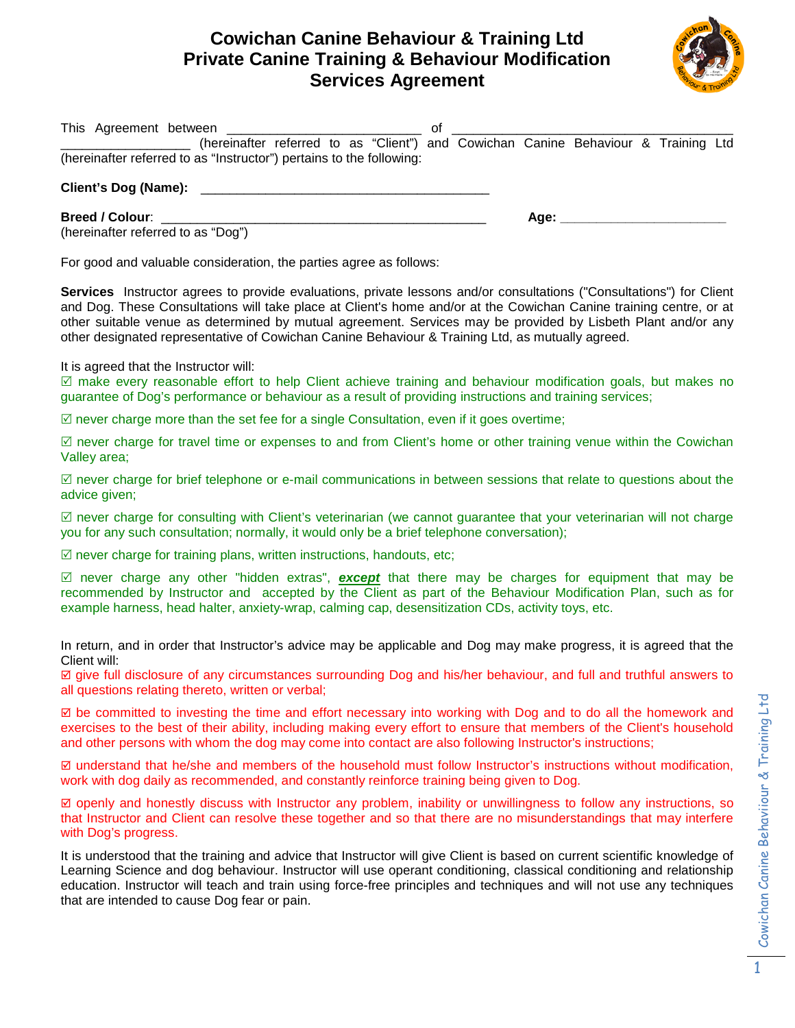## **Cowichan Canine Behaviour & Training Ltd Private Canine Training & Behaviour Modification Services Agreement**



| of<br>(hereinafter referred to as "Client") and Cowichan Canine Behaviour & Training Ltd                                                                                                                                                                                                                                                                                                                                                                       |
|----------------------------------------------------------------------------------------------------------------------------------------------------------------------------------------------------------------------------------------------------------------------------------------------------------------------------------------------------------------------------------------------------------------------------------------------------------------|
| (hereinafter referred to as "Instructor") pertains to the following:                                                                                                                                                                                                                                                                                                                                                                                           |
| Client's Dog (Name): ____________________________                                                                                                                                                                                                                                                                                                                                                                                                              |
| Breed / Colour:                                                                                                                                                                                                                                                                                                                                                                                                                                                |
| (hereinafter referred to as "Dog")                                                                                                                                                                                                                                                                                                                                                                                                                             |
| For good and valuable consideration, the parties agree as follows:                                                                                                                                                                                                                                                                                                                                                                                             |
| Services Instructor agrees to provide evaluations, private lessons and/or consultations ("Consultations") for Client<br>and Dog. These Consultations will take place at Client's home and/or at the Cowichan Canine training centre, or at<br>other suitable venue as determined by mutual agreement. Services may be provided by Lisbeth Plant and/or any<br>other designated representative of Cowichan Canine Behaviour & Training Ltd, as mutually agreed. |
| It is agreed that the Instructor will:<br>⊠ make every reasonable effort to help Client achieve training and behaviour modification goals, but makes no<br>guarantee of Dog's performance or behaviour as a result of providing instructions and training services;                                                                                                                                                                                            |
| $\boxtimes$ never charge more than the set fee for a single Consultation, even if it goes overtime;                                                                                                                                                                                                                                                                                                                                                            |
| $\boxtimes$ never charge for travel time or expenses to and from Client's home or other training venue within the Cowichan<br>Valley area;                                                                                                                                                                                                                                                                                                                     |
| $\boxtimes$ never charge for brief telephone or e-mail communications in between sessions that relate to questions about the<br>advice given;                                                                                                                                                                                                                                                                                                                  |
| $\boxtimes$ never charge for consulting with Client's veterinarian (we cannot guarantee that your veterinarian will not charge<br>you for any such consultation; normally, it would only be a brief telephone conversation);                                                                                                                                                                                                                                   |
| $\mathbb Z$ never charge for training plans, written instructions, handouts, etc;                                                                                                                                                                                                                                                                                                                                                                              |
| ⊠ never charge any other "hidden extras", <b>except</b> that there may be charges for equipment that may be<br>recommended by Instructor and accepted by the Client as part of the Behaviour Modification Plan, such as for<br>example harness, head halter, anxiety-wrap, calming cap, desensitization CDs, activity toys, etc.                                                                                                                               |
| In return, and in order that Instructor's advice may be applicable and Dog may make progress, it is agreed that the<br>Client will:                                                                                                                                                                                                                                                                                                                            |
| ⊠ give full disclosure of any circumstances surrounding Dog and his/her behaviour, and full and truthful answers to<br>all questions relating thereto, written or verbal;                                                                                                                                                                                                                                                                                      |
| ⊠ be committed to investing the time and effort necessary into working with Dog and to do all the homework and<br>exercises to the best of their ability, including making every effort to ensure that members of the Client's household<br>and other persons with whom the dog may come into contact are also following Instructor's instructions;                                                                                                            |
| ⊠ understand that he/she and members of the household must follow Instructor's instructions without modification,<br>work with dog daily as recommended, and constantly reinforce training being given to Dog.                                                                                                                                                                                                                                                 |
| ⊠ openly and honestly discuss with Instructor any problem, inability or unwillingness to follow any instructions, so<br>that Instructor and Client can resolve these together and so that there are no misunderstandings that may interfere<br>with Dog's progress.                                                                                                                                                                                            |
| It is understood that the training and advice that Instructor will give Client is based on current scientific knowledge of<br>Learning Science and dog behaviour. Instructor will use operant conditioning, classical conditioning and relationship<br>education. Instructor will teach and train using force-free principles and techniques and will not use any techniques<br>that are intended to cause Dog fear or pain.                                   |